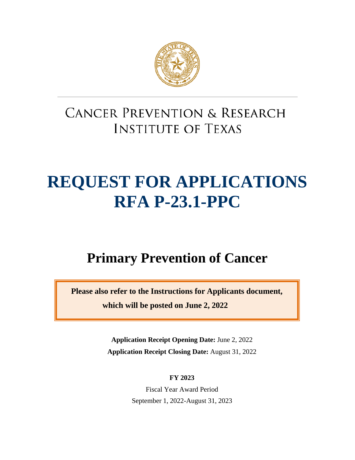

## **CANCER PREVENTION & RESEARCH INSTITUTE OF TEXAS**

# **REQUEST FOR APPLICATIONS RFA P-23.1-PPC**

## **Primary Prevention of Cancer**

**Please also refer to the Instructions for Applicants document, which will be posted on June 2, 2022**

> **Application Receipt Opening Date:** June 2, 2022 **Application Receipt Closing Date:** August 31, 2022

> > **FY 2023**

Fiscal Year Award Period September 1, 2022-August 31, 2023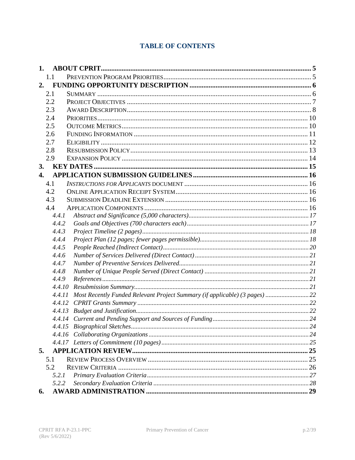## **TABLE OF CONTENTS**

| 1.               |                                                                             |  |
|------------------|-----------------------------------------------------------------------------|--|
| 1.1              |                                                                             |  |
| 2.               |                                                                             |  |
| 2.1              |                                                                             |  |
| 2.2              |                                                                             |  |
| 2.3              |                                                                             |  |
| 2.4              |                                                                             |  |
| 2.5              |                                                                             |  |
| 2.6              |                                                                             |  |
| 2.7              |                                                                             |  |
| 2.8              |                                                                             |  |
| 2.9              |                                                                             |  |
| 3.               |                                                                             |  |
| $\overline{4}$ . |                                                                             |  |
| 4.1              |                                                                             |  |
| 4.2              |                                                                             |  |
| 4.3              |                                                                             |  |
| 4.4              |                                                                             |  |
| 4.4.1            |                                                                             |  |
| 4.4.2            |                                                                             |  |
| 4.4.3            |                                                                             |  |
| 4.4.4            |                                                                             |  |
| 4.4.5            |                                                                             |  |
| 4.4.6            |                                                                             |  |
| 4.4.7            |                                                                             |  |
| 4.4.8            |                                                                             |  |
| 4.4.9            |                                                                             |  |
| 4.4.10           |                                                                             |  |
| 4.4.11           | Most Recently Funded Relevant Project Summary (if applicable) (3 pages)  22 |  |
| 4.4.12           |                                                                             |  |
| 4.4.13           |                                                                             |  |
|                  |                                                                             |  |
|                  |                                                                             |  |
|                  |                                                                             |  |
|                  |                                                                             |  |
| 5.               |                                                                             |  |
| 5.1              |                                                                             |  |
| 5.2              |                                                                             |  |
| 5.2.1            |                                                                             |  |
| 5.2.2            |                                                                             |  |
| 6.               |                                                                             |  |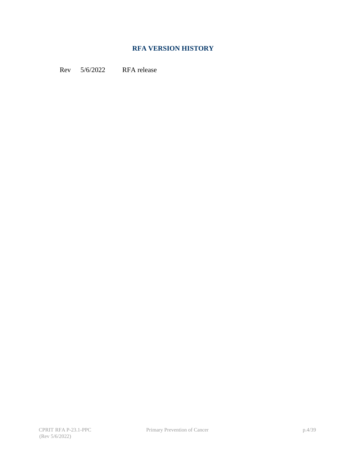#### **RFA VERSION HISTORY**

Rev 5/6/2022 RFA release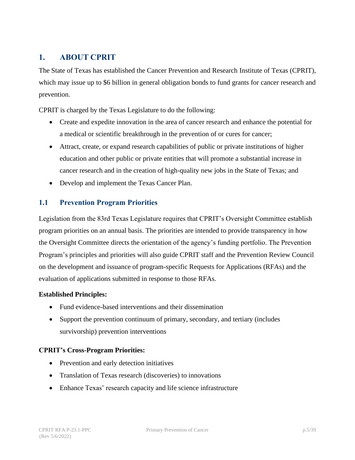## <span id="page-4-0"></span>**1. ABOUT CPRIT**

The State of Texas has established the Cancer Prevention and Research Institute of Texas (CPRIT), which may issue up to \$6 billion in general obligation bonds to fund grants for cancer research and prevention.

CPRIT is charged by the Texas Legislature to do the following:

- Create and expedite innovation in the area of cancer research and enhance the potential for a medical or scientific breakthrough in the prevention of or cures for cancer;
- Attract, create, or expand research capabilities of public or private institutions of higher education and other public or private entities that will promote a substantial increase in cancer research and in the creation of high-quality new jobs in the State of Texas; and
- Develop and implement the Texas Cancer Plan.

#### <span id="page-4-1"></span>**1.1 Prevention Program Priorities**

Legislation from the 83rd Texas Legislature requires that CPRIT's Oversight Committee establish program priorities on an annual basis. The priorities are intended to provide transparency in how the Oversight Committee directs the orientation of the agency's funding portfolio. The Prevention Program's principles and priorities will also guide CPRIT staff and the Prevention Review Council on the development and issuance of program-specific Requests for Applications (RFAs) and the evaluation of applications submitted in response to those RFAs.

#### **Established Principles:**

- Fund evidence-based interventions and their dissemination
- Support the prevention continuum of primary, secondary, and tertiary (includes survivorship) prevention interventions

#### **CPRIT's Cross-Program Priorities:**

- Prevention and early detection initiatives
- Translation of Texas research (discoveries) to innovations
- Enhance Texas' research capacity and life science infrastructure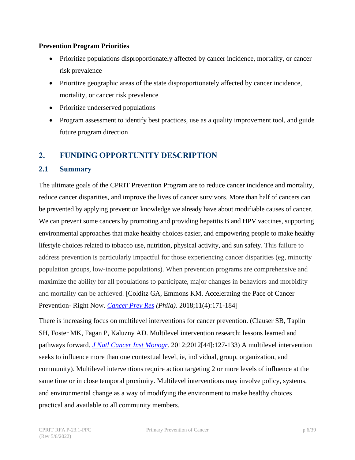#### **Prevention Program Priorities**

- Prioritize populations disproportionately affected by cancer incidence, mortality, or cancer risk prevalence
- Prioritize geographic areas of the state disproportionately affected by cancer incidence, mortality, or cancer risk prevalence
- Prioritize underserved populations
- Program assessment to identify best practices, use as a quality improvement tool, and guide future program direction

## <span id="page-5-0"></span>**2. FUNDING OPPORTUNITY DESCRIPTION**

#### <span id="page-5-1"></span>**2.1 Summary**

The ultimate goals of the CPRIT Prevention Program are to reduce cancer incidence and mortality, reduce cancer disparities, and improve the lives of cancer survivors. More than half of cancers can be prevented by applying prevention knowledge we already have about modifiable causes of cancer. We can prevent some cancers by promoting and providing hepatitis B and HPV vaccines, supporting environmental approaches that make healthy choices easier, and empowering people to make healthy lifestyle choices related to tobacco use, nutrition, physical activity, and sun safety. This failure to address prevention is particularly impactful for those experiencing cancer disparities (eg, minority population groups, low-income populations). When prevention programs are comprehensive and maximize the ability for all populations to participate, major changes in behaviors and morbidity and mortality can be achieved. [Colditz GA, Emmons KM. Accelerating the Pace of Cancer Prevention- Right Now. *[Cancer Prev Res](https://pubmed.ncbi.nlm.nih.gov/29519885/) (Phila).* 2018;11(4):171-184]

There is increasing focus on multilevel interventions for cancer prevention. (Clauser SB, Taplin SH, Foster MK, Fagan P, Kaluzny AD. Multilevel intervention research: lessons learned and pathways forward. *[J Natl Cancer Inst Monogr.](https://europepmc.org/article/PMC/3482966)* 2012;2012[44]:127-133) A multilevel intervention seeks to influence more than one contextual level, ie, individual, group, organization, and community). Multilevel interventions require action targeting 2 or more levels of influence at the same time or in close temporal proximity. Multilevel interventions may involve policy, systems, and environmental change as a way of modifying the environment to make healthy choices practical and available to all community members.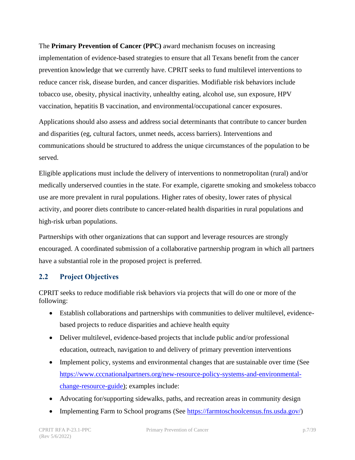The **Primary Prevention of Cancer (PPC)** award mechanism focuses on increasing implementation of evidence-based strategies to ensure that all Texans benefit from the cancer prevention knowledge that we currently have. CPRIT seeks to fund multilevel interventions to reduce cancer risk, disease burden, and cancer disparities. Modifiable risk behaviors include tobacco use, obesity, physical inactivity, unhealthy eating, alcohol use, sun exposure, HPV vaccination, hepatitis B vaccination, and environmental/occupational cancer exposures.

Applications should also assess and address social determinants that contribute to cancer burden and disparities (eg, cultural factors, unmet needs, access barriers). Interventions and communications should be structured to address the unique circumstances of the population to be served.

Eligible applications must include the delivery of interventions to nonmetropolitan (rural) and/or medically underserved counties in the state. For example, cigarette smoking and smokeless tobacco use are more prevalent in rural populations. Higher rates of obesity, lower rates of physical activity, and poorer diets contribute to cancer-related health disparities in rural populations and high-risk urban populations.

Partnerships with other organizations that can support and leverage resources are strongly encouraged. A coordinated submission of a collaborative partnership program in which all partners have a substantial role in the proposed project is preferred.

#### <span id="page-6-0"></span>**2.2 Project Objectives**

CPRIT seeks to reduce modifiable risk behaviors via projects that will do one or more of the following:

- Establish collaborations and partnerships with communities to deliver multilevel, evidencebased projects to reduce disparities and achieve health equity
- Deliver multilevel, evidence-based projects that include public and/or professional education, outreach, navigation to and delivery of primary prevention interventions
- Implement policy, systems and environmental changes that are sustainable over time (See [https://www.cccnationalpartners.org/new-resource-policy-systems-and-environmental](https://www.cccnationalpartners.org/new-resource-policy-systems-and-environmental-change-resource-guide)[change-resource-guide\)](https://www.cccnationalpartners.org/new-resource-policy-systems-and-environmental-change-resource-guide); examples include:
- Advocating for/supporting sidewalks, paths, and recreation areas in community design
- Implementing Farm to School programs (See [https://farmtoschoolcensus.fns.usda.gov/\)](https://farmtoschoolcensus.fns.usda.gov/)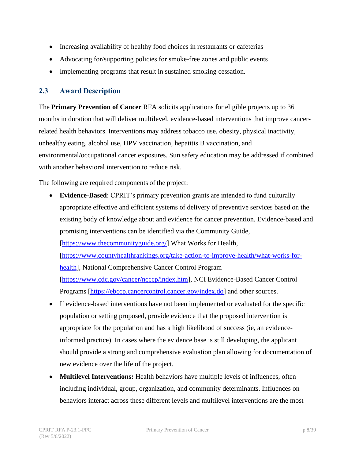- Increasing availability of healthy food choices in restaurants or cafeterias
- Advocating for/supporting policies for smoke-free zones and public events
- Implementing programs that result in sustained smoking cessation.

#### <span id="page-7-0"></span>**2.3 Award Description**

The **Primary Prevention of Cancer** RFA solicits applications for eligible projects up to 36 months in duration that will deliver multilevel, evidence-based interventions that improve cancerrelated health behaviors. Interventions may address tobacco use, obesity, physical inactivity, unhealthy eating, alcohol use, HPV vaccination, hepatitis B vaccination, and environmental/occupational cancer exposures. Sun safety education may be addressed if combined with another behavioral intervention to reduce risk.

The following are required components of the project:

- **Evidence-Based**: CPRIT's primary prevention grants are intended to fund culturally appropriate effective and efficient systems of delivery of preventive services based on the existing body of knowledge about and evidence for cancer prevention. Evidence-based and promising interventions can be identified via the Community Guide, [\[https://www.thecommunityguide.org/\]](https://www.thecommunityguide.org/) What Works for Health, [\[https://www.countyhealthrankings.org/take-action-to-improve-health/what-works-for](https://www.countyhealthrankings.org/take-action-to-improve-health/what-works-for-health)[health\]](https://www.countyhealthrankings.org/take-action-to-improve-health/what-works-for-health), National Comprehensive Cancer Control Program [\[https://www.cdc.gov/cancer/ncccp/index.htm\]](https://www.cdc.gov/cancer/ncccp/index.htm), NCI Evidence-Based Cancer Control Programs [\[https://ebccp.cancercontrol.cancer.gov/index.do\]](https://ebccp.cancercontrol.cancer.gov/index.do) and other sources.
- If evidence-based interventions have not been implemented or evaluated for the specific population or setting proposed, provide evidence that the proposed intervention is appropriate for the population and has a high likelihood of success (ie, an evidenceinformed practice). In cases where the evidence base is still developing, the applicant should provide a strong and comprehensive evaluation plan allowing for documentation of new evidence over the life of the project.
- **Multilevel Interventions:** Health behaviors have multiple levels of influences, often including individual, group, organization, and community determinants. Influences on behaviors interact across these different levels and multilevel interventions are the most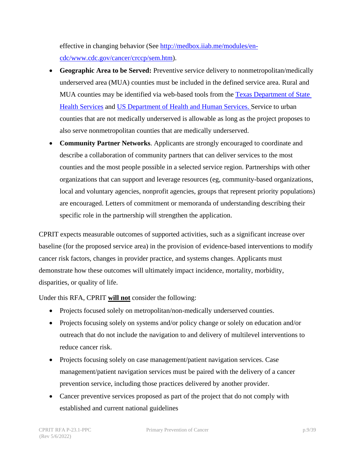effective in changing behavior (See [http://medbox.iiab.me/modules/en](http://medbox.iiab.me/modules/en-cdc/www.cdc.gov/cancer/crccp/sem.htm)[cdc/www.cdc.gov/cancer/crccp/sem.htm\)](http://medbox.iiab.me/modules/en-cdc/www.cdc.gov/cancer/crccp/sem.htm).

- **Geographic Area to be Served:** Preventive service delivery to nonmetropolitan/medically underserved area (MUA) counties must be included in the defined service area. Rural and MUA counties may be identified via web-based tools from the [Texas Department of State](https://healthdata.dshs.texas.gov/dashboard/surveys-and-profiles/hfp-2014-2015)  [Health](https://healthdata.dshs.texas.gov/dashboard/surveys-and-profiles/hfp-2014-2015) [Services](http://healthdata.dshs.texas.gov/HealthFactsProfiles) and US Department of [Health and Human Services.](https://data.hrsa.gov/tools/shortage-area/mua-find) Service to urban counties that are not medically underserved is allowable as long as the project proposes to also serve nonmetropolitan counties that are medically underserved.
- **Community Partner Networks**. Applicants are strongly encouraged to coordinate and describe a collaboration of community partners that can deliver services to the most counties and the most people possible in a selected service region. Partnerships with other organizations that can support and leverage resources (eg, community-based organizations, local and voluntary agencies, nonprofit agencies, groups that represent priority populations) are encouraged. Letters of commitment or memoranda of understanding describing their specific role in the partnership will strengthen the application.

CPRIT expects measurable outcomes of supported activities, such as a significant increase over baseline (for the proposed service area) in the provision of evidence-based interventions to modify cancer risk factors, changes in provider practice, and systems changes. Applicants must demonstrate how these outcomes will ultimately impact incidence, mortality, morbidity, disparities, or quality of life.

Under this RFA, CPRIT **will not** consider the following:

- Projects focused solely on metropolitan/non-medically underserved counties.
- Projects focusing solely on systems and/or policy change or solely on education and/or outreach that do not include the navigation to and delivery of multilevel interventions to reduce cancer risk.
- Projects focusing solely on case management/patient navigation services. Case management/patient navigation services must be paired with the delivery of a cancer prevention service, including those practices delivered by another provider.
- Cancer preventive services proposed as part of the project that do not comply with established and current national guidelines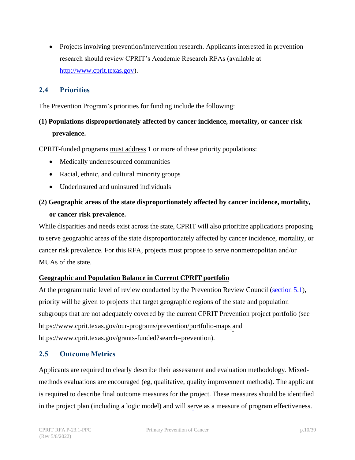• Projects involving prevention/intervention research. Applicants interested in prevention research should review CPRIT's Academic Research RFAs (available at [http://www.cprit.texas.gov\)](http://www.cprit.texas.gov/).

#### <span id="page-9-0"></span>**2.4 Priorities**

The Prevention Program's priorities for funding include the following:

## **(1) Populations disproportionately affected by cancer incidence, mortality, or cancer risk prevalence.**

CPRIT-funded programs must address 1 or more of these priority populations:

- Medically underresourced communities
- Racial, ethnic, and cultural minority groups
- Underinsured and uninsured individuals

## **(2) Geographic areas of the state disproportionately affected by cancer incidence, mortality, or cancer risk prevalence.**

While disparities and needs exist across the state, CPRIT will also prioritize applications proposing to serve geographic areas of the state disproportionately affected by cancer incidence, mortality, or cancer risk prevalence. For this RFA, projects must propose to serve nonmetropolitan and/or MUAs of the state.

#### **Geographic and Population Balance in Current CPRIT portfolio**

At the programmatic level of review conducted by the Prevention Review Council [\(section 5.1\)](#page-24-2), priority will be given to projects that target geographic regions of the state and population subgroups that are not adequately covered by the current CPRIT Prevention project portfolio (see [https://www.cprit.texas.gov/our-programs/prevention/portfolio-maps a](https://www.cprit.texas.gov/our-programs/prevention/portfolio-maps)nd [https://www.cprit.texas.gov/grants-funded?search=prevention\)](https://www.cprit.texas.gov/grants-funded?search=prevention).

#### <span id="page-9-1"></span>**2.5 Outcome Metrics**

Applicants are required to clearly describe their assessment and evaluation methodology. Mixedmethods evaluations are encouraged (eg, qualitative, quality improvement methods). The applicant is required to describe final outcome measures for the project. These measures should be identified in the project plan (including a logic model) and will serve as a measure of program effectiveness.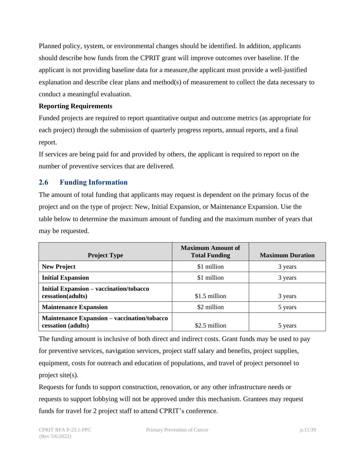Planned policy, system, or environmental changes should be identified. In addition, applicants should describe how funds from the CPRIT grant will improve outcomes over baseline. If the applicant is not providing baseline data for a measure,the applicant must provide a well-justified explanation and describe clear plans and method(s) of measurement to collect the data necessary to conduct a meaningful evaluation.

#### **Reporting Requirements**

Funded projects are required to report quantitative output and outcome metrics (as appropriate for each project) through the submission of quarterly progress reports, annual reports, and a final report.

If services are being paid for and provided by others, the applicant is required to report on the number of preventive services that are delivered.

#### <span id="page-10-0"></span>**2.6 Funding Information**

The amount of total funding that applicants may request is dependent on the primary focus of the project and on the type of project: New, Initial Expansion, or Maintenance Expansion. Use the table below to determine the maximum amount of funding and the maximum number of years that may be requested.

| <b>Project Type</b>                                                      | <b>Maximum Amount of</b><br><b>Total Funding</b> | <b>Maximum Duration</b> |
|--------------------------------------------------------------------------|--------------------------------------------------|-------------------------|
| <b>New Project</b>                                                       | \$1 million                                      | 3 years                 |
| <b>Initial Expansion</b>                                                 | \$1 million                                      | 3 years                 |
| Initial Expansion - vaccination/tobacco<br>cessation(adults)             | \$1.5 million                                    | 3 years                 |
| <b>Maintenance Expansion</b>                                             | \$2 million                                      | 5 years                 |
| <b>Maintenance Expansion – vaccination/tobacco</b><br>cessation (adults) | \$2.5 million                                    | 5 years                 |

The funding amount is inclusive of both direct and indirect costs. Grant funds may be used to pay for preventive services, navigation services, project staff salary and benefits, project supplies, equipment, costs for outreach and education of populations, and travel of project personnel to project site(s).

Requests for funds to support construction, renovation, or any other infrastructure needs or requests to support lobbying will not be approved under this mechanism. Grantees may request funds for travel for 2 project staff to attend CPRIT's conference.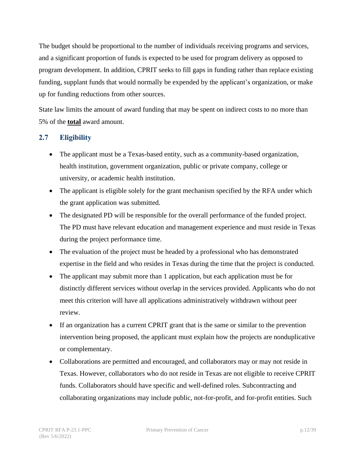The budget should be proportional to the number of individuals receiving programs and services, and a significant proportion of funds is expected to be used for program delivery as opposed to program development. In addition, CPRIT seeks to fill gaps in funding rather than replace existing funding, supplant funds that would normally be expended by the applicant's organization, or make up for funding reductions from other sources.

State law limits the amount of award funding that may be spent on indirect costs to no more than 5% of the **total** award amount.

#### <span id="page-11-0"></span>**2.7 Eligibility**

- The applicant must be a Texas-based entity, such as a community-based organization, health institution, government organization, public or private company, college or university, or academic health institution.
- The applicant is eligible solely for the grant mechanism specified by the RFA under which the grant application was submitted.
- The designated PD will be responsible for the overall performance of the funded project. The PD must have relevant education and management experience and must reside in Texas during the project performance time.
- The evaluation of the project must be headed by a professional who has demonstrated expertise in the field and who resides in Texas during the time that the project is conducted.
- The applicant may submit more than 1 application, but each application must be for distinctly different services without overlap in the services provided. Applicants who do not meet this criterion will have all applications administratively withdrawn without peer review.
- If an organization has a current CPRIT grant that is the same or similar to the prevention intervention being proposed, the applicant must explain how the projects are nonduplicative or complementary.
- Collaborations are permitted and encouraged, and collaborators may or may not reside in Texas. However, collaborators who do not reside in Texas are not eligible to receive CPRIT funds. Collaborators should have specific and well-defined roles. Subcontracting and collaborating organizations may include public, not-for-profit, and for-profit entities. Such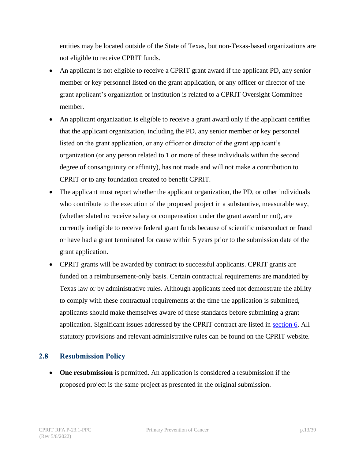entities may be located outside of the State of Texas, but non-Texas-based organizations are not eligible to receive CPRIT funds.

- An applicant is not eligible to receive a CPRIT grant award if the applicant PD, any senior member or key personnel listed on the grant application, or any officer or director of the grant applicant's organization or institution is related to a CPRIT Oversight Committee member.
- An applicant organization is eligible to receive a grant award only if the applicant certifies that the applicant organization, including the PD, any senior member or key personnel listed on the grant application, or any officer or director of the grant applicant's organization (or any person related to 1 or more of these individuals within the second degree of consanguinity or affinity), has not made and will not make a contribution to CPRIT or to any foundation created to benefit CPRIT.
- The applicant must report whether the applicant organization, the PD, or other individuals who contribute to the execution of the proposed project in a substantive, measurable way, (whether slated to receive salary or compensation under the grant award or not), are currently ineligible to receive federal grant funds because of scientific misconduct or fraud or have had a grant terminated for cause within 5 years prior to the submission date of the grant application.
- CPRIT grants will be awarded by contract to successful applicants. CPRIT grants are funded on a reimbursement-only basis. Certain contractual requirements are mandated by Texas law or by administrative rules. Although applicants need not demonstrate the ability to comply with these contractual requirements at the time the application is submitted, applicants should make themselves aware of these standards before submitting a grant application. Significant issues addressed by the CPRIT contract are listed in [section 6.](#page-28-0) All statutory provisions and relevant administrative rules can be found on the [CPRIT website.](https://www.cprit.texas.gov/about-us/statute-rules-and-grant-policies-guide/)

#### <span id="page-12-0"></span>**2.8 Resubmission Policy**

• **One resubmission** is permitted. An application is considered a resubmission if the proposed project is the same project as presented in the original submission.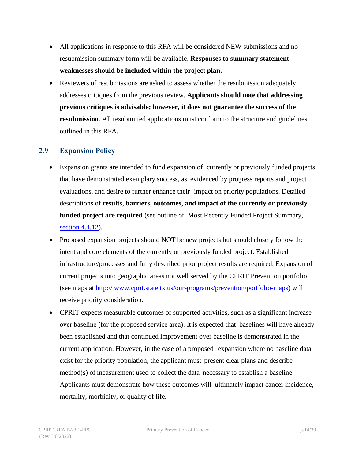- All applications in response to this RFA will be considered NEW submissions and no resubmission summary form will be available. **Responses to summary statement weaknesses should be included within the project plan.**
- Reviewers of resubmissions are asked to assess whether the resubmission adequately addresses critiques from the previous review. **Applicants should note that addressing previous critiques is advisable; however, it does not guarantee the success of the resubmission**. All resubmitted applications must conform to the structure and guidelines outlined in this RFA.

#### <span id="page-13-0"></span>**2.9 Expansion Policy**

- Expansion grants are intended to fund expansion of currently or previously funded projects that have demonstrated exemplary success, as evidenced by progress reports and project evaluations, and desire to further enhance their impact on priority populations. Detailed descriptions of **results, barriers, outcomes, and impact of the currently or previously funded project are required** (see outline of Most Recently Funded Project Summary, [section 4.4.12\)](#page-21-1).
- Proposed expansion projects should NOT be new projects but should closely follow the intent and core elements of the currently or previously funded project. Established infrastructure/processes and fully described prior project results are required. Expansion of current projects into geographic areas not well served by the CPRIT Prevention portfolio (see maps at [http:// www.cprit.state.tx.us/our-programs/prevention/portfolio-maps\)](https://www.cprit.state.tx.us/our-programs/prevention/portfolio-maps) will receive priority consideration.
- CPRIT expects measurable outcomes of supported activities, such as a significant increase over baseline (for the proposed service area). It is expected that baselines will have already been established and that continued improvement over baseline is demonstrated in the current application. However, in the case of a proposed expansion where no baseline data exist for the priority population, the applicant must present clear plans and describe method(s) of measurement used to collect the data necessary to establish a baseline. Applicants must demonstrate how these outcomes will ultimately impact cancer incidence, mortality, morbidity, or quality of life.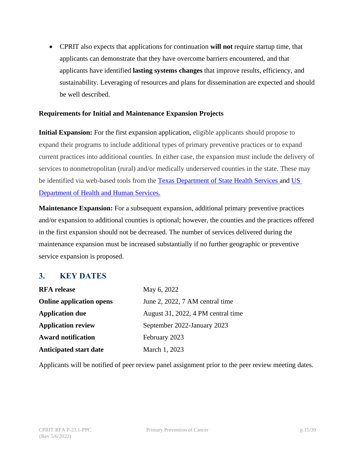• CPRIT also expects that applications for continuation **will not** require startup time, that applicants can demonstrate that they have overcome barriers encountered, and that applicants have identified **lasting systems changes** that improve results, efficiency, and sustainability. Leveraging of resources and plans for dissemination are expected and should be well described.

#### **Requirements for Initial and Maintenance Expansion Projects**

**Initial Expansion:** For the first expansion application, eligible applicants should propose to expand their programs to include additional types of primary preventive practices or to expand current practices into additional counties. In either case, the expansion must include the delivery of services to nonmetropolitan (rural) and/or medically underserved counties in the state. These may be identified via web-based tools from the [Texas Department of State Health Services](https://healthdata.dshs.texas.gov/dashboard/surveys-and-profiles/hfp-2014-2015) and US [Department of Health and Human Services.](https://data.hrsa.gov/tools/shortage-area/mua-find)

**Maintenance Expansion:** For a subsequent expansion, additional primary preventive practices and/or expansion to additional counties is optional; however, the counties and the practices offered in the first expansion should not be decreased. The number of services delivered during the maintenance expansion must be increased substantially if no further geographic or preventive service expansion is proposed.

#### <span id="page-14-0"></span>**3. KEY DATES**

| <b>RFA</b> release              | May 6, 2022                        |
|---------------------------------|------------------------------------|
| <b>Online application opens</b> | June 2, 2022, 7 AM central time    |
| <b>Application due</b>          | August 31, 2022, 4 PM central time |
| <b>Application review</b>       | September 2022-January 2023        |
| <b>Award notification</b>       | February 2023                      |
| <b>Anticipated start date</b>   | March 1, 2023                      |

Applicants will be notified of peer review panel assignment prior to the peer review meeting dates.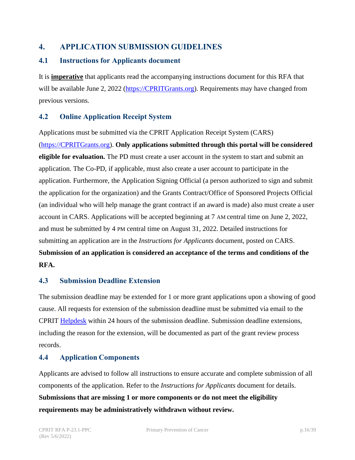#### <span id="page-15-0"></span>**4. APPLICATION SUBMISSION GUIDELINES**

#### <span id="page-15-1"></span>**4.1 Instructions for Applicants document**

It is **imperative** that applicants read the accompanying instructions document for this RFA that will be available June 2, 2022 [\(https://CPRITGrants.org\)](https://cpritgrants.org/). Requirements may have changed from previous versions.

#### <span id="page-15-2"></span>**4.2 Online Application Receipt System**

Applications must be submitted via the CPRIT Application Receipt System (CARS) [\(https://CPRITGrants.org\)](https://cpritgrants.org/). **Only applications submitted through this portal will be considered eligible for evaluation.** The PD must create a user account in the system to start and submit an application. The Co-PD, if applicable, must also create a user account to participate in the application. Furthermore, the Application Signing Official (a person authorized to sign and submit the application for the organization) and the Grants Contract/Office of Sponsored Projects Official (an individual who will help manage the grant contract if an award is made) also must create a user account in CARS. Applications will be accepted beginning at 7 AM central time on June 2, 2022, and must be submitted by 4 PM central time on August 31, 2022. Detailed instructions for submitting an application are in the *Instructions for Applicants* document, posted on CARS. **Submission of an application is considered an acceptance of the terms and conditions of the RFA.**

#### <span id="page-15-3"></span>**4.3 Submission Deadline Extension**

The submission deadline may be extended for 1 or more grant applications upon a showing of good cause. All requests for extension of the submission deadline must be submitted via email to the CPRIT [Helpdesk](#page-29-1) within 24 hours of the submission deadline. Submission deadline extensions, including the reason for the extension, will be documented as part of the grant review process records.

#### <span id="page-15-4"></span>**4.4 Application Components**

Applicants are advised to follow all instructions to ensure accurate and complete submission of all components of the application. Refer to the *Instructions for Applicants* document for details. **Submissions that are missing 1 or more components or do not meet the eligibility requirements may be administratively withdrawn without review.**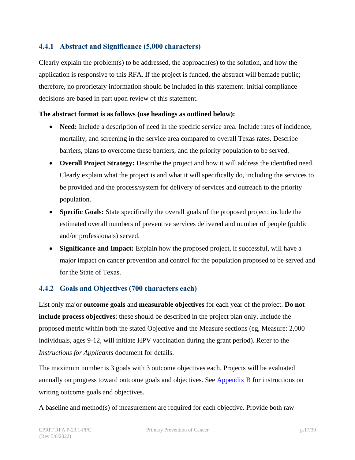#### <span id="page-16-0"></span>**4.4.1 Abstract and Significance (5,000 characters)**

Clearly explain the problem(s) to be addressed, the approach(es) to the solution, and how the application is responsive to this RFA. If the project is funded, the abstract will bemade public; therefore, no proprietary information should be included in this statement. Initial compliance decisions are based in part upon review of this statement.

#### **The abstract format is as follows (use headings as outlined below):**

- **Need:** Include a description of need in the specific service area. Include rates of incidence, mortality, and screening in the service area compared to overall Texas rates. Describe barriers, plans to overcome these barriers, and the priority population to be served.
- **Overall Project Strategy:** Describe the project and how it will address the identified need. Clearly explain what the project is and what it will specifically do, including the services to be provided and the process/system for delivery of services and outreach to the priority population.
- **Specific Goals:** State specifically the overall goals of the proposed project; include the estimated overall numbers of preventive services delivered and number of people (public and/or professionals) served.
- **Significance and Impact:** Explain how the proposed project, if successful, will have a major impact on cancer prevention and control for the population proposed to be served and for the State of Texas.

#### <span id="page-16-1"></span>**4.4.2 Goals and Objectives (700 characters each)**

List only major **outcome goals** and **measurable objectives** for each year of the project. **Do not include process objectives**; these should be described in the project plan only. Include the proposed metric within both the stated Objective **and** the Measure sections (eg, Measure: 2,000 individuals, ages 9-12, will initiate HPV vaccination during the grant period). Refer to the *Instructions for Applicants* document for details.

The maximum number is 3 goals with 3 outcome objectives each. Projects will be evaluated annually on progress toward outcome goals and objectives. See [Appendix B](#page-36-0) for instructions on writing outcome goals and objectives.

A baseline and method(s) of measurement are required for each objective. Provide both raw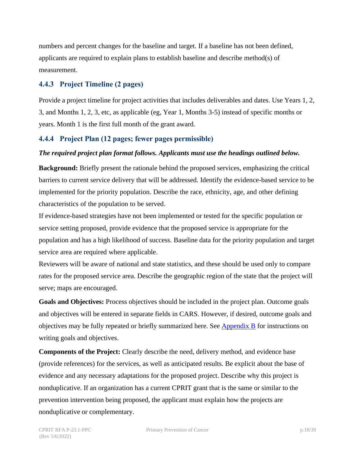numbers and percent changes for the baseline and target. If a baseline has not been defined, applicants are required to explain plans to establish baseline and describe method(s) of measurement.

#### <span id="page-17-0"></span>**4.4.3 Project Timeline (2 pages)**

Provide a project timeline for project activities that includes deliverables and dates. Use Years 1, 2, 3, and Months 1, 2, 3, etc, as applicable (eg, Year 1, Months 3-5) instead of specific months or years. Month 1 is the first full month of the grant award.

#### <span id="page-17-1"></span>**4.4.4 Project Plan (12 pages; fewer pages permissible)**

#### *The required project plan format follows. Applicants must use the headings outlined below.*

**Background:** Briefly present the rationale behind the proposed services, emphasizing the critical barriers to current service delivery that will be addressed. Identify the evidence-based service to be implemented for the priority population. Describe the race, ethnicity, age, and other defining characteristics of the population to be served.

If evidence-based strategies have not been implemented or tested for the specific population or service setting proposed, provide evidence that the proposed service is appropriate for the population and has a high likelihood of success. Baseline data for the priority population and target service area are required where applicable.

Reviewers will be aware of national and state statistics, and these should be used only to compare rates for the proposed service area. Describe the geographic region of the state that the project will serve; maps are encouraged.

**Goals and Objectives:** Process objectives should be included in the project plan. Outcome goals and objectives will be entered in separate fields in CARS. However, if desired, outcome goals and objectives may be fully repeated or briefly summarized here. See [Appendix B](#page-36-0) for instructions on writing goals and objectives.

**Components of the Project:** Clearly describe the need, delivery method, and evidence base (provide references) for the services, as well as anticipated results. Be explicit about the base of evidence and any necessary adaptations for the proposed project. Describe why this project is nonduplicative. If an organization has a current CPRIT grant that is the same or similar to the prevention intervention being proposed, the applicant must explain how the projects are nonduplicative or complementary.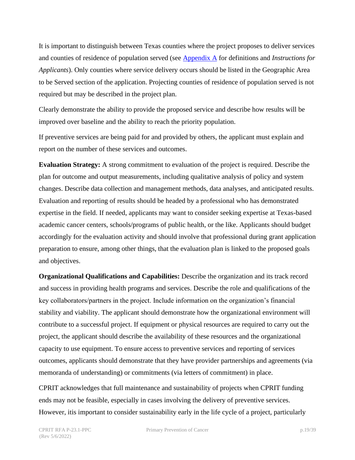It is important to distinguish between Texas counties where the project proposes to deliver services and counties of residence of population served (see [Appendix A](#page-33-0) for definitions and *Instructions for Applicants*). Only counties where service delivery occurs should be listed in the Geographic Area to be Served section of the application. Projecting counties of residence of population served is not required but may be described in the project plan.

Clearly demonstrate the ability to provide the proposed service and describe how results will be improved over baseline and the ability to reach the priority population.

If preventive services are being paid for and provided by others, the applicant must explain and report on the number of these services and outcomes.

**Evaluation Strategy:** A strong commitment to evaluation of the project is required. Describe the plan for outcome and output measurements, including qualitative analysis of policy and system changes. Describe data collection and management methods, data analyses, and anticipated results. Evaluation and reporting of results should be headed by a professional who has demonstrated expertise in the field. If needed, applicants may want to consider seeking expertise at Texas-based academic cancer centers, schools/programs of public health, or the like. Applicants should budget accordingly for the evaluation activity and should involve that professional during grant application preparation to ensure, among other things, that the evaluation plan is linked to the proposed goals and objectives.

**Organizational Qualifications and Capabilities:** Describe the organization and its track record and success in providing health programs and services. Describe the role and qualifications of the key collaborators/partners in the project. Include information on the organization's financial stability and viability. The applicant should demonstrate how the organizational environment will contribute to a successful project. If equipment or physical resources are required to carry out the project, the applicant should describe the availability of these resources and the organizational capacity to use equipment. To ensure access to preventive services and reporting of services outcomes, applicants should demonstrate that they have provider partnerships and agreements (via memoranda of understanding) or commitments (via letters of commitment) in place.

CPRIT acknowledges that full maintenance and sustainability of projects when CPRIT funding ends may not be feasible, especially in cases involving the delivery of preventive services. However, itis important to consider sustainability early in the life cycle of a project, particularly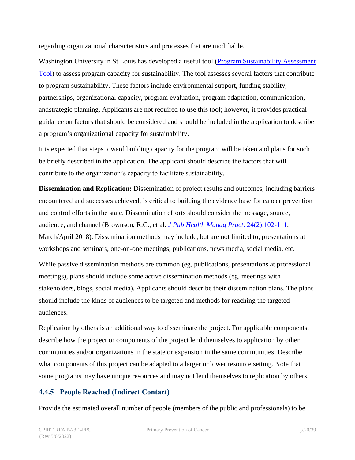regarding organizational characteristics and processes that are modifiable.

Washington University in St Louis has developed a useful tool [\(Program Sustainability Assessment](https://www.sustaintool.org/about-us/) [Tool\)](https://www.sustaintool.org/about-us/) to assess program capacity for sustainability. The tool assesses several factors that contribute to program sustainability. These factors include environmental support, funding stability, partnerships, organizational capacity, program evaluation, program adaptation, communication, andstrategic planning. Applicants are not required to use this tool; however, it provides practical guidance on factors that should be considered and should be included in the application to describe a program's organizational capacity for sustainability.

It is expected that steps toward building capacity for the program will be taken and plans for such be briefly described in the application. The applicant should describe the factors that will contribute to the organization's capacity to facilitate sustainability.

**Dissemination and Replication:** Dissemination of project results and outcomes, including barriers encountered and successes achieved, is critical to building the evidence base for cancer prevention and control efforts in the state. Dissemination efforts should consider the message, source, audience, and channel (Brownson, R.C., et al. *[J Pub Health Manag Pract](https://journals.lww.com/jphmp/Fulltext/2018/03000/Getting_the_Word_Out___New_Approaches_for.4.aspx)*. 24(2):102-111, March/April 2018). Dissemination methods may include, but are not limited to, presentations at workshops and seminars, one-on-one meetings, publications, news media, social media, etc.

While passive dissemination methods are common (eg, publications, presentations at professional meetings), plans should include some active dissemination methods (eg, meetings with stakeholders, blogs, social media). Applicants should describe their dissemination plans. The plans should include the kinds of audiences to be targeted and methods for reaching the targeted audiences.

Replication by others is an additional way to disseminate the project. For applicable components, describe how the project or components of the project lend themselves to application by other communities and/or organizations in the state or expansion in the same communities. Describe what components of this project can be adapted to a larger or lower resource setting. Note that some programs may have unique resources and may not lend themselves to replication by others.

#### <span id="page-19-0"></span>**4.4.5 People Reached (Indirect Contact)**

Provide the estimated overall number of people (members of the public and professionals) to be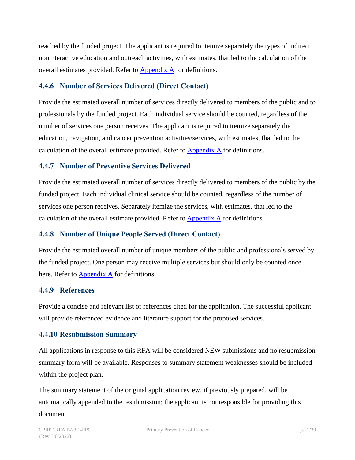reached by the funded project. The applicant is required to itemize separately the types of indirect noninteractive education and outreach activities, with estimates, that led to the calculation of the overall estimates provided. Refer to [Appendix A](#page-33-0) for definitions.

#### <span id="page-20-0"></span>**4.4.6 Number of Services Delivered (Direct Contact)**

Provide the estimated overall number of services directly delivered to members of the public and to professionals by the funded project. Each individual service should be counted, regardless of the number of services one person receives. The applicant is required to itemize separately the education, navigation, and cancer prevention activities/services, with estimates, that led to the calculation of the overall estimate provided. Refer to  $\Delta$ ppendix  $\Delta$  for definitions.

#### <span id="page-20-1"></span>**4.4.7 Number of Preventive Services Delivered**

Provide the estimated overall number of services directly delivered to members of the public by the funded project. Each individual clinical service should be counted, regardless of the number of services one person receives. Separately itemize the services, with estimates, that led to the calculation of the overall estimate provided. Refer to [Appendix](#page-33-0) A for definitions.

#### <span id="page-20-2"></span>**4.4.8 Number of Unique People Served (Direct Contact)**

Provide the estimated overall number of unique members of the public and professionals served by the funded project. One person may receive multiple services but should only be counted once here. Refer to  $\Delta$ ppendix  $\Delta$  for definitions.

#### <span id="page-20-3"></span>**4.4.9 References**

Provide a concise and relevant list of references cited for the application. The successful applicant will provide referenced evidence and literature support for the proposed services.

#### <span id="page-20-4"></span>**4.4.10 Resubmission Summary**

All applications in response to this RFA will be considered NEW submissions and no resubmission summary form will be available. Responses to summary statement weaknesses should be included within the project plan.

The summary statement of the original application review, if previously prepared, will be automatically appended to the resubmission; the applicant is not responsible for providing this document.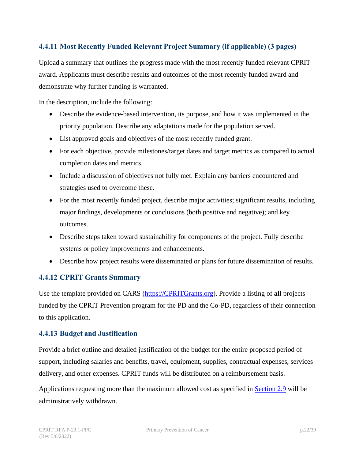#### <span id="page-21-0"></span>**4.4.11 Most Recently Funded Relevant Project Summary (if applicable) (3 pages)**

Upload a summary that outlines the progress made with the most recently funded relevant CPRIT award. Applicants must describe results and outcomes of the most recently funded award and demonstrate why further funding is warranted.

In the description, include the following:

- Describe the evidence-based intervention, its purpose, and how it was implemented in the priority population. Describe any adaptations made for the population served.
- List approved goals and objectives of the most recently funded grant.
- For each objective, provide milestones/target dates and target metrics as compared to actual completion dates and metrics.
- Include a discussion of objectives not fully met. Explain any barriers encountered and strategies used to overcome these.
- For the most recently funded project, describe major activities; significant results, including major findings, developments or conclusions (both positive and negative); and key outcomes.
- Describe steps taken toward sustainability for components of the project. Fully describe systems or policy improvements and enhancements.
- Describe how project results were disseminated or plans for future dissemination of results.

#### <span id="page-21-1"></span>**4.4.12 CPRIT Grants Summary**

Use the template provided on CARS [\(https://CPRITGrants.org\)](https://cpritgrants.org/). Provide a listing of **all** projects funded by the CPRIT Prevention program for the PD and the Co-PD, regardless of their connection to this application.

#### <span id="page-21-2"></span>**4.4.13 Budget and Justification**

Provide a brief outline and detailed justification of the budget for the entire proposed period of support, including salaries and benefits, travel, equipment, supplies, contractual expenses, services delivery, and other expenses. CPRIT funds will be distributed on a reimbursement basis.

Applications requesting more than the maximum allowed cost as specified in [Section 2.9](#page-13-0) will be administratively withdrawn.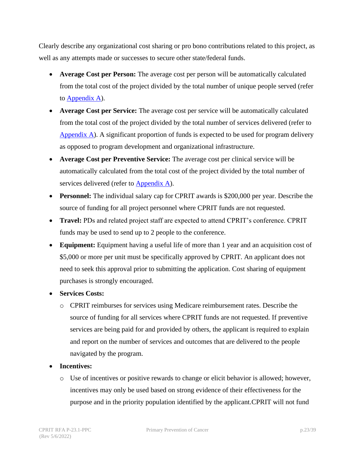Clearly describe any organizational cost sharing or pro bono contributions related to this project, as well as any attempts made or successes to secure other state/federal funds.

- **Average Cost per Person:** The average cost per person will be automatically calculated from the total cost of the project divided by the total number of unique people served (refer to [Appendix A\)](#page-33-0).
- **Average Cost per Service:** The average cost per service will be automatically calculated from the total cost of the project divided by the total number of services delivered (refer to [Appendix](#page-33-0) A). A significant proportion of funds is expected to be used for program delivery as opposed to program development and organizational infrastructure.
- **Average Cost per Preventive Service:** The average cost per clinical service will be automatically calculated from the total cost of the project divided by the total number of services delivered (refer to  $\Delta$ ppendix  $\Delta$ ).
- **Personnel:** The individual salary cap for CPRIT awards is \$200,000 per year. Describe the source of funding for all project personnel where CPRIT funds are not requested.
- **Travel:** PDs and related project staff are expected to attend CPRIT's conference. CPRIT funds may be used to send up to 2 people to the conference.
- **Equipment:** Equipment having a useful life of more than 1 year and an acquisition cost of \$5,000 or more per unit must be specifically approved by CPRIT. An applicant does not need to seek this approval prior to submitting the application. Cost sharing of equipment purchases is strongly encouraged.
- **Services Costs:**
	- o CPRIT reimburses for services using Medicare reimbursement rates. Describe the source of funding for all services where CPRIT funds are not requested. If preventive services are being paid for and provided by others, the applicant is required to explain and report on the number of services and outcomes that are delivered to the people navigated by the program.
- **Incentives:**
	- o Use of incentives or positive rewards to change or elicit behavior is allowed; however, incentives may only be used based on strong evidence of their effectiveness for the purpose and in the priority population identified by the applicant.CPRIT will not fund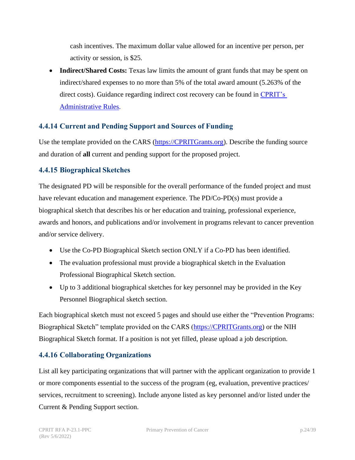cash incentives. The maximum dollar value allowed for an incentive per person, per activity or session, is \$25.

• **Indirect/Shared Costs:** Texas law limits the amount of grant funds that may be spent on indirect/shared expenses to no more than 5% of the total award amount (5.263% of the direct costs). Guidance regarding indirect cost recovery can be found in [CPRIT's](https://texreg.sos.state.tx.us/public/readtac%24ext.ViewTAC?tac_view=3&ti=25&pt=11) [Administrative](https://texreg.sos.state.tx.us/public/readtac%24ext.ViewTAC?tac_view=3&ti=25&pt=11) Rules.

#### <span id="page-23-0"></span>**4.4.14 Current and Pending Support and Sources of Funding**

Use the template provided on the CARS [\(https://CPRITGrants.org\)](https://cpritgrants.org/). Describe the funding source and duration of **all** current and pending support for the proposed project.

#### <span id="page-23-1"></span>**4.4.15 Biographical Sketches**

The designated PD will be responsible for the overall performance of the funded project and must have relevant education and management experience. The PD/Co-PD(s) must provide a biographical sketch that describes his or her education and training, professional experience, awards and honors, and publications and/or involvement in programs relevant to cancer prevention and/or service delivery.

- Use the Co-PD Biographical Sketch section ONLY if a Co-PD has been identified.
- The evaluation professional must provide a biographical sketch in the Evaluation Professional Biographical Sketch section.
- Up to 3 additional biographical sketches for key personnel may be provided in the Key Personnel Biographical sketch section.

Each biographical sketch must not exceed 5 pages and should use either the "Prevention Programs: Biographical Sketch" template provided on the CARS [\(https://CPRITGrants.org\)](https://cpritgrants.org/) or the NIH Biographical Sketch format. If a position is not yet filled, please upload a job description.

#### <span id="page-23-2"></span>**4.4.16 Collaborating Organizations**

List all key participating organizations that will partner with the applicant organization to provide 1 or more components essential to the success of the program (eg, evaluation, preventive practices/ services, recruitment to screening). Include anyone listed as key personnel and/or listed under the Current & Pending Support section.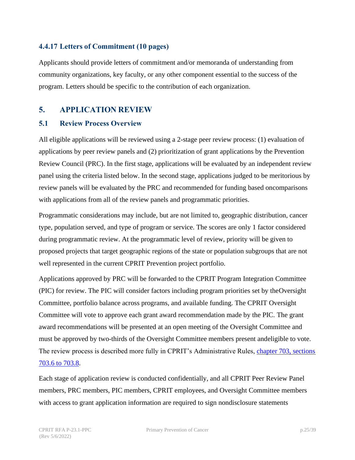#### <span id="page-24-0"></span>**4.4.17 Letters of Commitment (10 pages)**

Applicants should provide letters of commitment and/or memoranda of understanding from community organizations, key faculty, or any other component essential to the success of the program. Letters should be specific to the contribution of each organization.

#### <span id="page-24-1"></span>**5. APPLICATION REVIEW**

#### <span id="page-24-2"></span>**5.1 Review Process Overview**

All eligible applications will be reviewed using a 2-stage peer review process: (1) evaluation of applications by peer review panels and (2) prioritization of grant applications by the Prevention Review Council (PRC). In the first stage, applications will be evaluated by an independent review panel using the criteria listed below. In the second stage, applications judged to be meritorious by review panels will be evaluated by the PRC and recommended for funding based oncomparisons with applications from all of the review panels and programmatic priorities.

Programmatic considerations may include, but are not limited to, geographic distribution, cancer type, population served, and type of program or service. The scores are only 1 factor considered during programmatic review. At the programmatic level of review, priority will be given to proposed projects that target geographic regions of the state or population subgroups that are not well represented in the current CPRIT Prevention project portfolio.

Applications approved by PRC will be forwarded to the CPRIT Program Integration Committee (PIC) for review. The PIC will consider factors including program priorities set by theOversight Committee, portfolio balance across programs, and available funding. The CPRIT Oversight Committee will vote to approve each grant award recommendation made by the PIC. The grant award recommendations will be presented at an open meeting of the Oversight Committee and must be approved by two-thirds of the Oversight Committee members present andeligible to vote. The review process is described more fully in CPRIT's Administrative Rules, chapter [703, sections](https://texreg.sos.state.tx.us/public/readtac%24ext.ViewTAC?tac_view=4&ti=25&pt=11&ch=703&rl=Y)  [703.6 to 703.8.](https://texreg.sos.state.tx.us/public/readtac%24ext.ViewTAC?tac_view=4&ti=25&pt=11&ch=703&rl=Y)

Each stage of application review is conducted confidentially, and all CPRIT Peer Review Panel members, PRC members, PIC members, CPRIT employees, and Oversight Committee members with access to grant application information are required to sign nondisclosure statements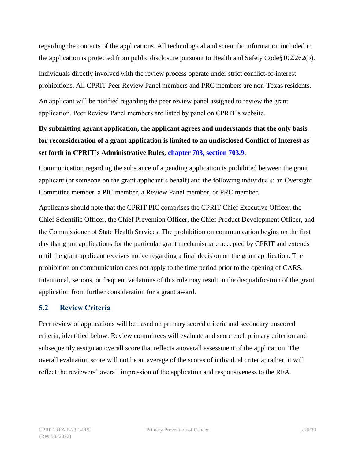regarding the contents of the applications. All technological and scientific information included in the application is protected from public disclosure pursuant to Health and Safety Code§102.262(b).

Individuals directly involved with the review process operate under strict conflict-of-interest prohibitions. All CPRIT Peer Review Panel members and PRC members are non-Texas residents.

An applicant will be notified regarding the peer review panel assigned to review the grant application. Peer Review Panel members are listed by panel on CPRIT's website.

## **By submitting agrant application, the applicant agrees and understands that the only basis for reconsideration of a grant application is limited to an undisclosed Conflict of Interest as set forth in CPRIT's Administrative Rules, chapter [703, section 703.9.](https://texreg.sos.state.tx.us/public/readtac$ext.TacPage?sl=R&app=9&p_dir=&p_rloc=&p_tloc=&p_ploc=&pg=1&p_tac=&ti=25&pt=11&ch=703&rl=9)**

Communication regarding the substance of a pending application is prohibited between the grant applicant (or someone on the grant applicant's behalf) and the following individuals: an Oversight Committee member, a PIC member, a Review Panel member, or PRC member.

Applicants should note that the CPRIT PIC comprises the CPRIT Chief Executive Officer, the Chief Scientific Officer, the Chief Prevention Officer, the Chief Product Development Officer, and the Commissioner of State Health Services. The prohibition on communication begins on the first day that grant applications for the particular grant mechanismare accepted by CPRIT and extends until the grant applicant receives notice regarding a final decision on the grant application. The prohibition on communication does not apply to the time period prior to the opening of CARS. Intentional, serious, or frequent violations of this rule may result in the disqualification of the grant application from further consideration for a grant award.

#### <span id="page-25-0"></span>**5.2 Review Criteria**

Peer review of applications will be based on primary scored criteria and secondary unscored criteria, identified below. Review committees will evaluate and score each primary criterion and subsequently assign an overall score that reflects anoverall assessment of the application. The overall evaluation score will not be an average of the scores of individual criteria; rather, it will reflect the reviewers' overall impression of the application and responsiveness to the RFA.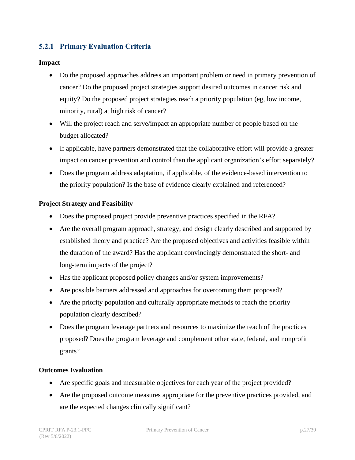#### <span id="page-26-0"></span>**5.2.1 Primary Evaluation Criteria**

#### **Impact**

- Do the proposed approaches address an important problem or need in primary prevention of cancer? Do the proposed project strategies support desired outcomes in cancer risk and equity? Do the proposed project strategies reach a priority population (eg, low income, minority, rural) at high risk of cancer?
- Will the project reach and serve/impact an appropriate number of people based on the budget allocated?
- If applicable, have partners demonstrated that the collaborative effort will provide a greater impact on cancer prevention and control than the applicant organization's effort separately?
- Does the program address adaptation, if applicable, of the evidence-based intervention to the priority population? Is the base of evidence clearly explained and referenced?

#### **Project Strategy and Feasibility**

- Does the proposed project provide preventive practices specified in the RFA?
- Are the overall program approach, strategy, and design clearly described and supported by established theory and practice? Are the proposed objectives and activities feasible within the duration of the award? Has the applicant convincingly demonstrated the short- and long-term impacts of the project?
- Has the applicant proposed policy changes and/or system improvements?
- Are possible barriers addressed and approaches for overcoming them proposed?
- Are the priority population and culturally appropriate methods to reach the priority population clearly described?
- Does the program leverage partners and resources to maximize the reach of the practices proposed? Does the program leverage and complement other state, federal, and nonprofit grants?

#### **Outcomes Evaluation**

- Are specific goals and measurable objectives for each year of the project provided?
- Are the proposed outcome measures appropriate for the preventive practices provided, and are the expected changes clinically significant?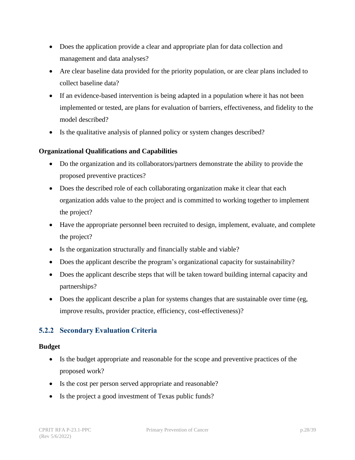- Does the application provide a clear and appropriate plan for data collection and management and data analyses?
- Are clear baseline data provided for the priority population, or are clear plans included to collect baseline data?
- If an evidence-based intervention is being adapted in a population where it has not been implemented or tested, are plans for evaluation of barriers, effectiveness, and fidelity to the model described?
- Is the qualitative analysis of planned policy or system changes described?

#### **Organizational Qualifications and Capabilities**

- Do the organization and its collaborators/partners demonstrate the ability to provide the proposed preventive practices?
- Does the described role of each collaborating organization make it clear that each organization adds value to the project and is committed to working together to implement the project?
- Have the appropriate personnel been recruited to design, implement, evaluate, and complete the project?
- Is the organization structurally and financially stable and viable?
- Does the applicant describe the program's organizational capacity for sustainability?
- Does the applicant describe steps that will be taken toward building internal capacity and partnerships?
- Does the applicant describe a plan for systems changes that are sustainable over time (eg, improve results, provider practice, efficiency, cost-effectiveness)?

#### <span id="page-27-0"></span>**5.2.2 Secondary Evaluation Criteria**

#### **Budget**

- Is the budget appropriate and reasonable for the scope and preventive practices of the proposed work?
- Is the cost per person served appropriate and reasonable?
- Is the project a good investment of Texas public funds?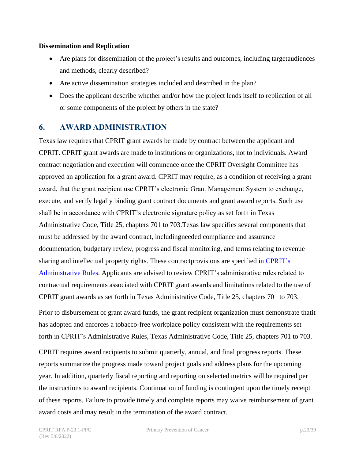#### **Dissemination and Replication**

- Are plans for dissemination of the project's results and outcomes, including targetaudiences and methods, clearly described?
- Are active dissemination strategies included and described in the plan?
- Does the applicant describe whether and/or how the project lends itself to replication of all or some components of the project by others in the state?

#### <span id="page-28-0"></span>**6. AWARD ADMINISTRATION**

Texas law requires that CPRIT grant awards be made by contract between the applicant and CPRIT. CPRIT grant awards are made to institutions or organizations, not to individuals. Award contract negotiation and execution will commence once the CPRIT Oversight Committee has approved an application for a grant award. CPRIT may require, as a condition of receiving a grant award, that the grant recipient use CPRIT's electronic Grant Management System to exchange, execute, and verify legally binding grant contract documents and grant award reports. Such use shall be in accordance with CPRIT's electronic signature policy as set forth in Texas Administrative Code, Title 25, chapters 701 to 703.Texas law specifies several components that must be addressed by the award contract, includingneeded compliance and assurance documentation, budgetary review, progress and fiscal monitoring, and terms relating to revenue sharing and intellectual property rights. These contractprovisions are specified in [CPRIT's](https://texreg.sos.state.tx.us/public/readtac%24ext.ViewTAC?tac_view=3&ti=25&pt=11)  [Administrative Rules.](https://texreg.sos.state.tx.us/public/readtac%24ext.ViewTAC?tac_view=3&ti=25&pt=11) Applicants are advised to review CPRIT's administrative rules related to contractual requirements associated with CPRIT grant awards and limitations related to the use of CPRIT grant awards as set forth in Texas Administrative Code, Title 25, chapters 701 to 703.

Prior to disbursement of grant award funds, the grant recipient organization must demonstrate thatit has adopted and enforces a tobacco-free workplace policy consistent with the requirements set forth in CPRIT's Administrative Rules, Texas Administrative Code, Title 25, chapters 701 to 703.

CPRIT requires award recipients to submit quarterly, annual, and final progress reports. These reports summarize the progress made toward project goals and address plans for the upcoming year. In addition, quarterly fiscal reporting and reporting on selected metrics will be required per the instructions to award recipients. Continuation of funding is contingent upon the timely receipt of these reports. Failure to provide timely and complete reports may waive reimbursement of grant award costs and may result in the termination of the award contract.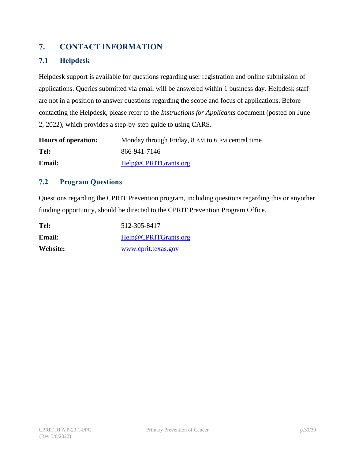## <span id="page-29-0"></span>**7. CONTACT INFORMATION**

#### <span id="page-29-1"></span>**7.1 Helpdesk**

Helpdesk support is available for questions regarding user registration and online submission of applications. Queries submitted via email will be answered within 1 business day. Helpdesk staff are not in a position to answer questions regarding the scope and focus of applications. Before contacting the Helpdesk, please refer to the *Instructions for Applicants* document (posted on June 2, 2022), which provides a step-by-step guide to using CARS.

| <b>Hours of operation:</b> | Monday through Friday, 8 AM to 6 PM central time |
|----------------------------|--------------------------------------------------|
| Tel:                       | 866-941-7146                                     |
| <b>Email:</b>              | Help@CPRITGrants.org                             |

#### <span id="page-29-2"></span>**7.2 Program Questions**

Questions regarding the CPRIT Prevention program, including questions regarding this or anyother funding opportunity, should be directed to the CPRIT Prevention Program Office.

| Tel:     | 512-305-8417         |
|----------|----------------------|
| Email:   | Help@CPRITGrants.org |
| Website: | www.cprit.texas.gov  |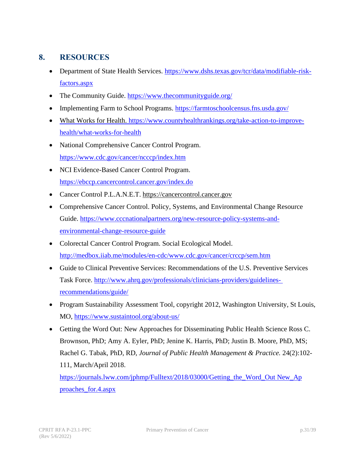## <span id="page-30-0"></span>**8. RESOURCES**

- Department of State Health Services. [https://www.dshs.texas.gov/tcr/data/modifiable-risk](https://www.dshs.texas.gov/tcr/data/modifiable-risk-factors.aspx)[factors.aspx](https://www.dshs.texas.gov/tcr/data/modifiable-risk-factors.aspx)
- The Community Guide. <https://www.thecommunityguide.org/>
- Implementing Farm to School Programs. <https://farmtoschoolcensus.fns.usda.gov/>
- What Works for Health. [https://www.countyhealthrankings.org/take-action-to-improve](https://www.countyhealthrankings.org/take-action-to-improve-health/what-works-for-health)[health/what-works-for-health](https://www.countyhealthrankings.org/take-action-to-improve-health/what-works-for-health)
- National Comprehensive Cancer Control Program. <https://www.cdc.gov/cancer/ncccp/index.htm>
- NCI Evidence-Based Cancer Control Program. <https://ebccp.cancercontrol.cancer.gov/index.do>
- Cancer Control P.L.A.N.E.T. [https://cancercontrol.cancer.gov](https://cancercontrol.cancer.gov/)
- Comprehensive Cancer Control. Policy, Systems, and Environmental Change Resource Guide. [https://www.cccnationalpartners.org/new-resource-policy-systems-and](https://www.cccnationalpartners.org/new-resource-policy-systems-and-environmental-change-resource-guide)[environmental-change-resource-guide](https://www.cccnationalpartners.org/new-resource-policy-systems-and-environmental-change-resource-guide)
- Colorectal Cancer Control Program. Social Ecological Model. <http://medbox.iiab.me/modules/en-cdc/www.cdc.gov/cancer/crccp/sem.htm>
- Guide to Clinical Preventive Services: Recommendations of the U.S. Preventive Services Task Force. [http://www.ahrq.gov/professionals/clinicians-providers/guidelines](http://www.ahrq.gov/professionals/clinicians-providers/guidelines-recommendations/guide/)[recommendations/guide/](http://www.ahrq.gov/professionals/clinicians-providers/guidelines-recommendations/guide/)
- Program Sustainability Assessment Tool, copyright 2012, Washington University, St Louis, MO, <https://www.sustaintool.org/about-us/>
- Getting the Word Out: New Approaches for Disseminating Public Health Science Ross C. Brownson, PhD; Amy A. Eyler, PhD; Jenine K. Harris, PhD; Justin B. Moore, PhD, MS; Rachel G. Tabak, PhD, RD, *Journal of Public Health Management & Practice.* 24(2):102- 111, March/April 2018. https://journals.lww.com/jphmp/Fulltext/2018/03000/Getting the Word Out New Ap

[proaches\\_for.4.aspx](https://journals.lww.com/jphmp/Fulltext/2018/03000/Getting_the_Word_Out___New_Approaches_for.4.aspx)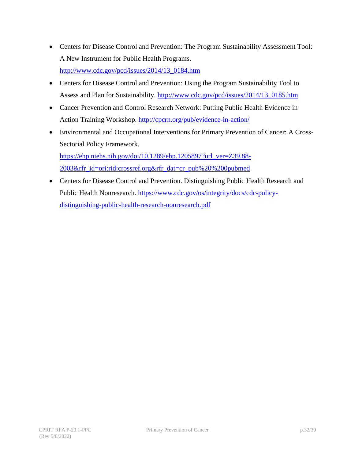- Centers for Disease Control and Prevention: The Program Sustainability Assessment Tool: A New Instrument for Public Health Programs. [http://www.cdc.gov/pcd/issues/2014/13\\_0184.htm](http://www.cdc.gov/pcd/issues/2014/13_0184.htm)
- Centers for Disease Control and Prevention: Using the Program Sustainability Tool to Assess and Plan for Sustainability. [http://www.cdc.gov/pcd/issues/2014/13\\_0185.htm](http://www.cdc.gov/pcd/issues/2014/13_0185.htm)
- Cancer Prevention and Control Research Network: Putting Public Health Evidence in Action Training Workshop. <http://cpcrn.org/pub/evidence-in-action/>
- Environmental and Occupational Interventions for Primary Prevention of Cancer: A Cross-Sectorial Policy Framework. [https://ehp.niehs.nih.gov/doi/10.1289/ehp.1205897?url\\_ver=Z39.88-](https://ehp.niehs.nih.gov/doi/10.1289/ehp.1205897?url_ver=Z39.88-2003&rfr_id=ori:rid:crossref.org&rfr_dat=cr_pub%20%200pubmed)

[2003&rfr\\_id=ori:rid:crossref.org&rfr\\_dat=cr\\_pub%20%200pubmed](https://ehp.niehs.nih.gov/doi/10.1289/ehp.1205897?url_ver=Z39.88-2003&rfr_id=ori:rid:crossref.org&rfr_dat=cr_pub%20%200pubmed)

• Centers for Disease Control and Prevention. Distinguishing Public Health Research and Public Health Nonresearch. [https://www.cdc.gov/os/integrity/docs/cdc-policy](https://www.cdc.gov/os/integrity/docs/cdc-policy-distinguishing-public-health-research-nonresearch.pdf)[distinguishing-public-health-research-nonresearch.pdf](https://www.cdc.gov/os/integrity/docs/cdc-policy-distinguishing-public-health-research-nonresearch.pdf)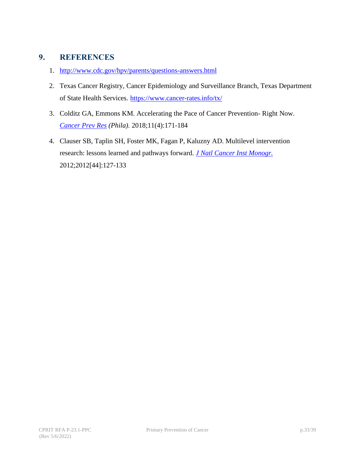## <span id="page-32-0"></span>**9. REFERENCES**

- 1. <http://www.cdc.gov/hpv/parents/questions-answers.html>
- 2. Texas Cancer Registry, Cancer Epidemiology and Surveillance Branch, Texas Department of State Health Services. <https://www.cancer-rates.info/tx/>
- 3. Colditz GA, Emmons KM. Accelerating the Pace of Cancer Prevention- Right Now. *[Cancer Prev Res](https://pubmed.ncbi.nlm.nih.gov/29519885/) (Phila).* 2018;11(4):171-184
- 4. Clauser SB, Taplin SH, Foster MK, Fagan P, Kaluzny AD. Multilevel intervention research: lessons learned and pathways forward. *[J Natl Cancer Inst Monogr.](https://europepmc.org/article/PMC/3482966)* 2012;2012[44]:127-133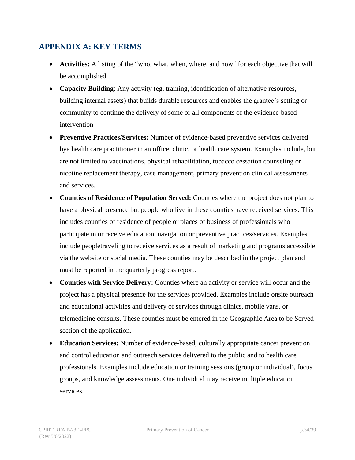## <span id="page-33-0"></span>**APPENDIX A: KEY TERMS**

- **Activities:** A listing of the "who, what, when, where, and how" for each objective that will be accomplished
- **Capacity Building**: Any activity (eg, training, identification of alternative resources, building internal assets) that builds durable resources and enables the grantee's setting or community to continue the delivery of some or all components of the evidence-based intervention
- <span id="page-33-1"></span>• **Preventive Practices/Services:** Number of evidence-based preventive services delivered bya health care practitioner in an office, clinic, or health care system. Examples include, but are not limited to vaccinations, physical rehabilitation, tobacco cessation counseling or nicotine replacement therapy, case management, primary prevention clinical assessments and services.
- **Counties of Residence of Population Served:** Counties where the project does not plan to have a physical presence but people who live in these counties have received services. This includes counties of residence of people or places of business of professionals who participate in or receive education, navigation or preventive practices/services. Examples include peopletraveling to receive services as a result of marketing and programs accessible via the website or social media. These counties may be described in the project plan and must be reported in the quarterly progress report.
- **Counties with Service Delivery:** Counties where an activity or service will occur and the project has a physical presence for the services provided. Examples include onsite outreach and educational activities and delivery of services through clinics, mobile vans, or telemedicine consults. These counties must be entered in the Geographic Area to be Served section of the application.
- **Education Services:** Number of evidence-based, culturally appropriate cancer prevention and control education and outreach services delivered to the public and to health care professionals. Examples include education or training sessions (group or individual), focus groups, and knowledge assessments. One individual may receive multiple education services.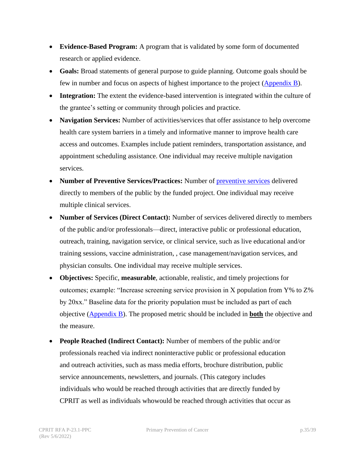- **Evidence-Based Program:** A program that is validated by some form of documented research or applied evidence.
- **Goals:** Broad statements of general purpose to guide planning. Outcome goals should be few in number and focus on aspects of highest importance to the project [\(Appendix](#page-36-0) B).
- **Integration:** The extent the evidence-based intervention is integrated within the culture of the grantee's setting or community through policies and practice.
- **Navigation Services:** Number of activities/services that offer assistance to help overcome health care system barriers in a timely and informative manner to improve health care access and outcomes. Examples include patient reminders, transportation assistance, and appointment scheduling assistance. One individual may receive multiple navigation services.
- **Number of Preventive Services/Practices:** Number of [preventive services](#page-33-1) delivered directly to members of the public by the funded project. One individual may receive multiple clinical services.
- **Number of Services (Direct Contact):** Number of services delivered directly to members of the public and/or professionals—direct, interactive public or professional education, outreach, training, navigation service, or clinical service, such as live educational and/or training sessions, vaccine administration, , case management/navigation services, and physician consults. One individual may receive multiple services.
- **Objectives:** Specific, **measurable**, actionable, realistic, and timely projections for outcomes; example: "Increase screening service provision in X population from Y% to Z% by 20xx." Baseline data for the priority population must be included as part of each objective [\(Appendix B\)](#page-36-0). The proposed metric should be included in **both** the objective and the measure.
- **People Reached (Indirect Contact):** Number of members of the public and/or professionals reached via indirect noninteractive public or professional education and outreach activities, such as mass media efforts, brochure distribution, public service announcements, newsletters, and journals. (This category includes individuals who would be reached through activities that are directly funded by CPRIT as well as individuals whowould be reached through activities that occur as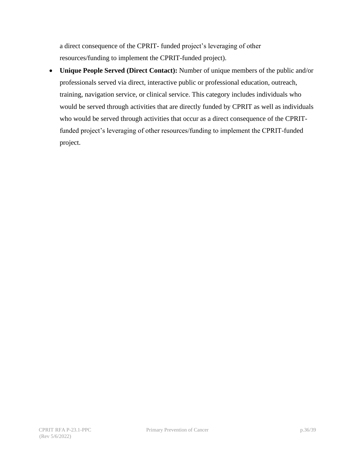a direct consequence of the CPRIT- funded project's leveraging of other resources/funding to implement the CPRIT-funded project).

• **Unique People Served (Direct Contact):** Number of unique members of the public and/or professionals served via direct, interactive public or professional education, outreach, training, navigation service, or clinical service. This category includes individuals who would be served through activities that are directly funded by CPRIT as well as individuals who would be served through activities that occur as a direct consequence of the CPRITfunded project's leveraging of other resources/funding to implement the CPRIT-funded project.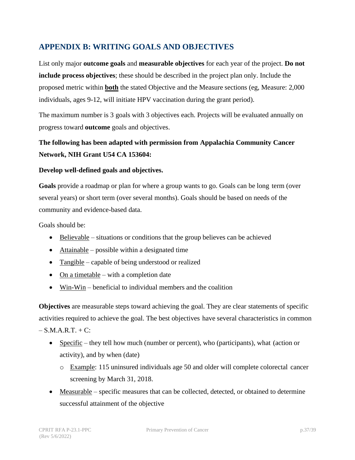## <span id="page-36-0"></span>**APPENDIX B: WRITING GOALS AND OBJECTIVES**

List only major **outcome goals** and **measurable objectives** for each year of the project. **Do not include process objectives**; these should be described in the project plan only. Include the proposed metric within **both** the stated Objective and the Measure sections (eg, Measure: 2,000 individuals, ages 9-12, will initiate HPV vaccination during the grant period).

The maximum number is 3 goals with 3 objectives each. Projects will be evaluated annually on progress toward **outcome** goals and objectives.

## **The following has been adapted with permission from Appalachia Community Cancer Network, NIH Grant U54 CA 153604:**

#### **Develop well-defined goals and objectives.**

**Goals** provide a roadmap or plan for where a group wants to go. Goals can be long term (over several years) or short term (over several months). Goals should be based on needs of the community and evidence-based data.

Goals should be:

- $\bullet$  Believable situations or conditions that the group believes can be achieved
- Attainable possible within a designated time
- Tangible capable of being understood or realized
- On a timetable with a completion date
- Win-Win beneficial to individual members and the coalition

**Objectives** are measurable steps toward achieving the goal. They are clear statements of specific activities required to achieve the goal. The best objectives have several characteristics in common  $-S.M.A.R.T. + C$ :

- Specific they tell how much (number or percent), who (participants), what (action or activity), and by when (date)
	- o Example: 115 uninsured individuals age 50 and older will complete colorectal cancer screening by March 31, 2018.
- Measurable specific measures that can be collected, detected, or obtained to determine successful attainment of the objective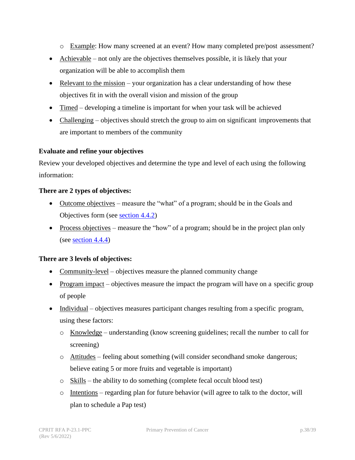- o Example: How many screened at an event? How many completed pre/post assessment?
- Achievable not only are the objectives themselves possible, it is likely that your organization will be able to accomplish them
- Relevant to the mission your organization has a clear understanding of how these objectives fit in with the overall vision and mission of the group
- Timed developing a timeline is important for when your task will be achieved
- Challenging objectives should stretch the group to aim on significant improvements that are important to members of the community

#### **Evaluate and refine your objectives**

Review your developed objectives and determine the type and level of each using the following information:

#### **There are 2 types of objectives:**

- Outcome objectives measure the "what" of a program; should be in the Goals and Objectives form (see [section 4.4.2\)](#page-16-1)
- Process objectives measure the "how" of a program; should be in the project plan only (see [section 4.4.4\)](#page-17-1)

#### **There are 3 levels of objectives:**

- Community-level objectives measure the planned community change
- Program impact objectives measure the impact the program will have on a specific group of people
- Individual objectives measures participant changes resulting from a specific program, using these factors:
	- o Knowledge understanding (know screening guidelines; recall the number to call for screening)
	- o Attitudes feeling about something (will consider secondhand smoke dangerous; believe eating 5 or more fruits and vegetable is important)
	- o Skills the ability to do something (complete fecal occult blood test)
	- o Intentions regarding plan for future behavior (will agree to talk to the doctor, will plan to schedule a Pap test)